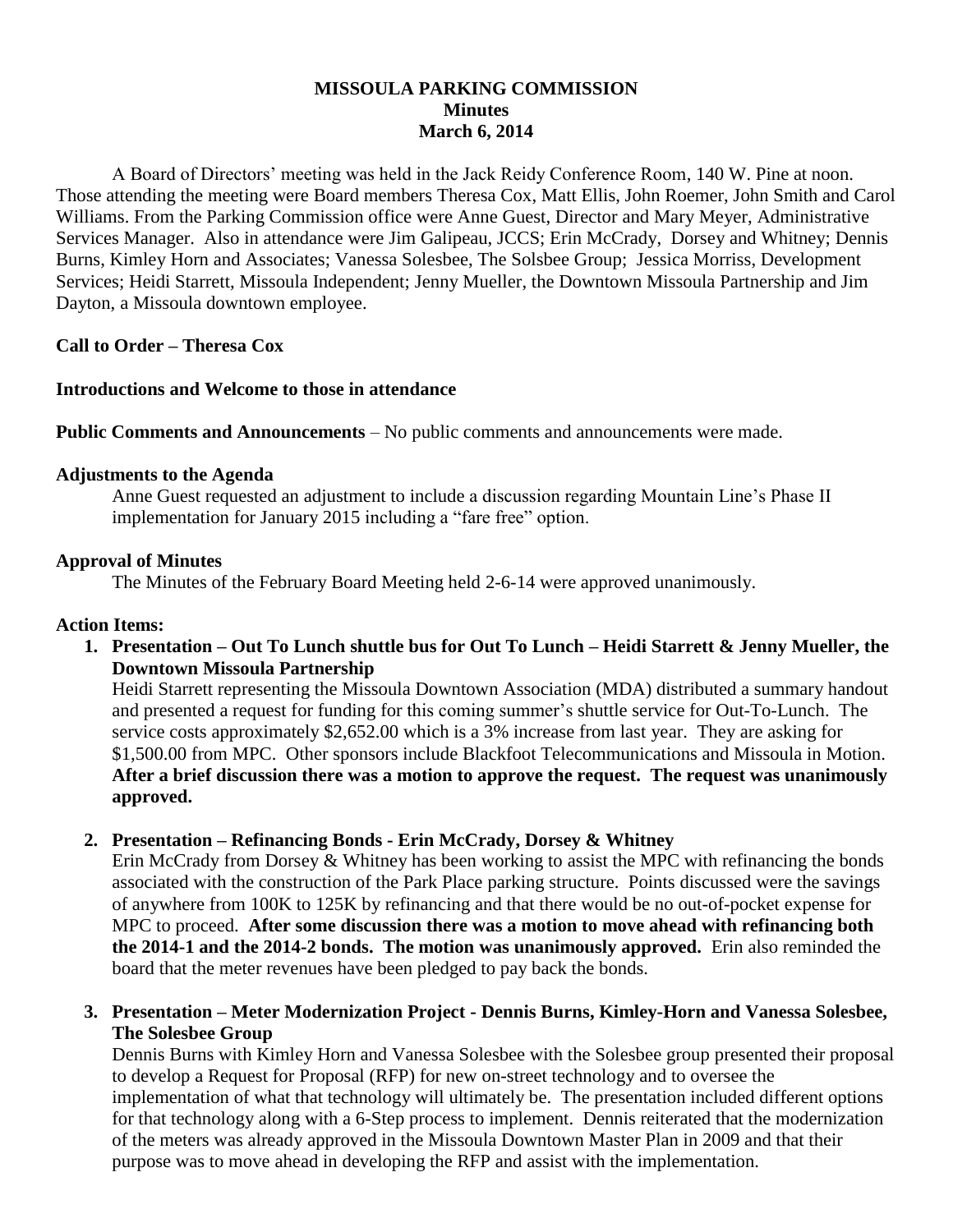# **MISSOULA PARKING COMMISSION Minutes March 6, 2014**

A Board of Directors' meeting was held in the Jack Reidy Conference Room, 140 W. Pine at noon. Those attending the meeting were Board members Theresa Cox, Matt Ellis, John Roemer, John Smith and Carol Williams. From the Parking Commission office were Anne Guest, Director and Mary Meyer, Administrative Services Manager. Also in attendance were Jim Galipeau, JCCS; Erin McCrady, Dorsey and Whitney; Dennis Burns, Kimley Horn and Associates; Vanessa Solesbee, The Solsbee Group; Jessica Morriss, Development Services; Heidi Starrett, Missoula Independent; Jenny Mueller, the Downtown Missoula Partnership and Jim Dayton, a Missoula downtown employee.

### **Call to Order – Theresa Cox**

#### **Introductions and Welcome to those in attendance**

**Public Comments and Announcements** – No public comments and announcements were made.

### **Adjustments to the Agenda**

Anne Guest requested an adjustment to include a discussion regarding Mountain Line's Phase II implementation for January 2015 including a "fare free" option.

#### **Approval of Minutes**

The Minutes of the February Board Meeting held 2-6-14 were approved unanimously.

#### **Action Items:**

**1. Presentation – Out To Lunch shuttle bus for Out To Lunch – Heidi Starrett & Jenny Mueller, the Downtown Missoula Partnership**

Heidi Starrett representing the Missoula Downtown Association (MDA) distributed a summary handout and presented a request for funding for this coming summer's shuttle service for Out-To-Lunch. The service costs approximately \$2,652.00 which is a 3% increase from last year. They are asking for \$1,500.00 from MPC. Other sponsors include Blackfoot Telecommunications and Missoula in Motion. **After a brief discussion there was a motion to approve the request. The request was unanimously approved.**

# **2. Presentation – Refinancing Bonds - Erin McCrady, Dorsey & Whitney**

Erin McCrady from Dorsey & Whitney has been working to assist the MPC with refinancing the bonds associated with the construction of the Park Place parking structure. Points discussed were the savings of anywhere from 100K to 125K by refinancing and that there would be no out-of-pocket expense for MPC to proceed. **After some discussion there was a motion to move ahead with refinancing both the 2014-1 and the 2014-2 bonds. The motion was unanimously approved.** Erin also reminded the board that the meter revenues have been pledged to pay back the bonds.

# **3. Presentation – Meter Modernization Project - Dennis Burns, Kimley-Horn and Vanessa Solesbee, The Solesbee Group**

Dennis Burns with Kimley Horn and Vanessa Solesbee with the Solesbee group presented their proposal to develop a Request for Proposal (RFP) for new on-street technology and to oversee the implementation of what that technology will ultimately be. The presentation included different options for that technology along with a 6-Step process to implement. Dennis reiterated that the modernization of the meters was already approved in the Missoula Downtown Master Plan in 2009 and that their purpose was to move ahead in developing the RFP and assist with the implementation.